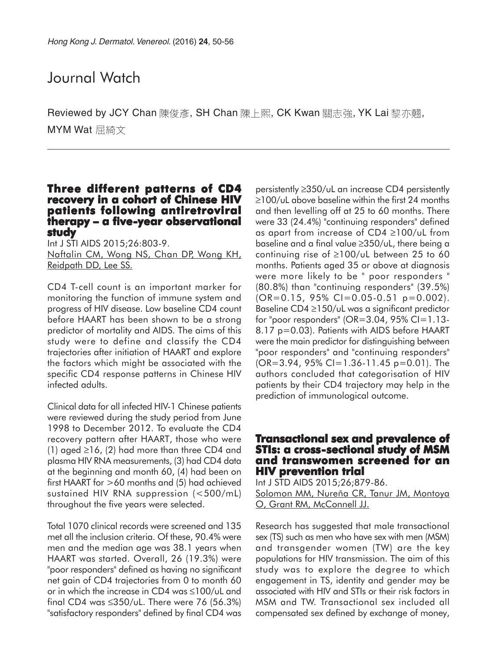# Journal Watch

Reviewed by JCY Chan 陳俊彥, SH Chan 陳上熙, CK Kwan 關志強, YK Lai 黎亦翹, MYM Wat 屈綺文

## **Three different patterns of CD4 recovery in a cohort of Chinese HIV patients following antiretroviral therapy – a five-year observational -year observational study**

Int J STI AIDS 2015;26:803-9. Naftalin CM, Wong NS, Chan DP, Wong KH, Reidpath DD, Lee SS.

CD4 T-cell count is an important marker for monitoring the function of immune system and progress of HIV disease. Low baseline CD4 count before HAART has been shown to be a strong predictor of mortality and AIDS. The aims of this study were to define and classify the CD4 trajectories after initiation of HAART and explore the factors which might be associated with the specific CD4 response patterns in Chinese HIV infected adults.

Clinical data for all infected HIV-1 Chinese patients were reviewed during the study period from June 1998 to December 2012. To evaluate the CD4 recovery pattern after HAART, those who were (1) aged ≥16, (2) had more than three CD4 and plasma HIV RNA measurements, (3) had CD4 data at the beginning and month 60, (4) had been on first HAART for >60 months and (5) had achieved sustained HIV RNA suppression (<500/mL) throughout the five years were selected.

Total 1070 clinical records were screened and 135 met all the inclusion criteria. Of these, 90.4% were men and the median age was 38.1 years when HAART was started. Overall, 26 (19.3%) were "poor responders" defined as having no significant net gain of CD4 trajectories from 0 to month 60 or in which the increase in CD4 was ≤100/uL and final CD4 was  $\leq$ 350/uL. There were 76 (56.3%) "satisfactory responders" defined by final CD4 was

persistently ≥350/uL an increase CD4 persistently ≥100/uL above baseline within the first 24 months and then levelling off at 25 to 60 months. There were 33 (24.4%) "continuing responders" defined as apart from increase of CD4 ≥100/uL from baseline and a final value ≥350/uL, there being a continuing rise of ≥100/uL between 25 to 60 months. Patients aged 35 or above at diagnosis were more likely to be " poor responders " (80.8%) than "continuing responders" (39.5%)  $(OR=0.15, 95\% \text{ Cl}=0.05-0.51 \text{ p}=0.002).$ Baseline CD4 ≥150/uL was a significant predictor for "poor responders" ( $OR=3.04$ ,  $95\%$  CI=1.13-8.17 p=0.03). Patients with AIDS before HAART were the main predictor for distinguishing between "poor responders" and "continuing responders"  $(OR = 3.94, 95\% CI = 1.36 - 11.45 p = 0.01)$ . The authors concluded that categorisation of HIV patients by their CD4 trajectory may help in the prediction of immunological outcome.

## **Transactional sex and prevalence of STIs: a cross-sectional study of MSM and transwomen screened for an HIV prevention trial HIV prevention**

Int J STD AIDS 2015;26;879-86. Solomon MM, Nureña CR, Tanur JM, Montoya O, Grant RM, McConnell JJ.

Research has suggested that male transactional sex (TS) such as men who have sex with men (MSM) and transgender women (TW) are the key populations for HIV transmission. The aim of this study was to explore the degree to which engagement in TS, identity and gender may be associated with HIV and STIs or their risk factors in MSM and TW. Transactional sex included all compensated sex defined by exchange of money,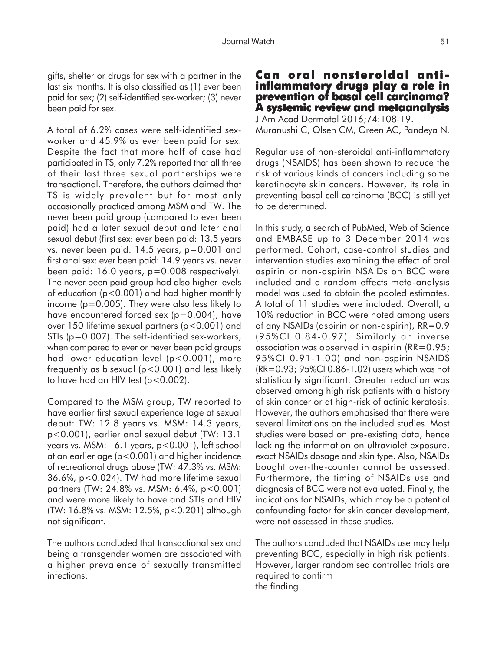gifts, shelter or drugs for sex with a partner in the last six months. It is also classified as (1) ever been paid for sex; (2) self-identified sex-worker; (3) never been paid for sex.

A total of 6.2% cases were self-identified sexworker and 45.9% as ever been paid for sex. Despite the fact that more half of case had participated in TS, only 7.2% reported that all three of their last three sexual partnerships were transactional. Therefore, the authors claimed that TS is widely prevalent but for most only occasionally practiced among MSM and TW. The never been paid group (compared to ever been paid) had a later sexual debut and later anal sexual debut (first sex: ever been paid: 13.5 years vs. never been paid: 14.5 years, p=0.001 and first anal sex: ever been paid: 14.9 years vs. never been paid: 16.0 years, p=0.008 respectively). The never been paid group had also higher levels of education (p<0.001) and had higher monthly income (p=0.005). They were also less likely to have encountered forced sex  $(p=0.004)$ , have over 150 lifetime sexual partners (p<0.001) and STIs (p=0.007). The self-identified sex-workers, when compared to ever or never been paid groups had lower education level (p<0.001), more frequently as bisexual (p<0.001) and less likely to have had an HIV test ( $p < 0.002$ ).

Compared to the MSM group, TW reported to have earlier first sexual experience (age at sexual debut: TW: 12.8 years vs. MSM: 14.3 years, p<0.001), earlier anal sexual debut (TW: 13.1 years vs. MSM: 16.1 years, p<0.001), left school at an earlier age (p<0.001) and higher incidence of recreational drugs abuse (TW: 47.3% vs. MSM: 36.6%, p<0.024). TW had more lifetime sexual partners (TW: 24.8% vs. MSM: 6.4%, p<0.001) and were more likely to have and STIs and HIV (TW: 16.8% vs. MSM: 12.5%, p<0.201) although not significant.

The authors concluded that transactional sex and being a transgender women are associated with a higher prevalence of sexually transmitted infections.

## **Can oral nonsteroidal antiinflammatory drugs play a role in prevention of basal cell carcinoma? A systemic review and metaanalysis** J Am Acad Dermatol 2016;74:108-19. Muranushi C, Olsen CM, Green AC, Pandeya N.

Regular use of non-steroidal anti-inflammatory drugs (NSAIDS) has been shown to reduce the risk of various kinds of cancers including some keratinocyte skin cancers. However, its role in preventing basal cell carcinoma (BCC) is still yet to be determined.

In this study, a search of PubMed, Web of Science and EMBASE up to 3 December 2014 was performed. Cohort, case-control studies and intervention studies examining the effect of oral aspirin or non-aspirin NSAIDs on BCC were included and a random effects meta-analysis model was used to obtain the pooled estimates. A total of 11 studies were included. Overall, a 10% reduction in BCC were noted among users of any NSAIDs (aspirin or non-aspirin), RR=0.9 (95%CI 0.84-0.97). Similarly an inverse association was observed in aspirin (RR=0.95; 95%CI 0.91-1.00) and non-aspirin NSAIDS (RR=0.93; 95%CI 0.86-1.02) users which was not statistically significant. Greater reduction was observed among high risk patients with a history of skin cancer or at high-risk of actinic keratosis. However, the authors emphasised that there were several limitations on the included studies. Most studies were based on pre-existing data, hence lacking the information on ultraviolet exposure, exact NSAIDs dosage and skin type. Also, NSAIDs bought over-the-counter cannot be assessed. Furthermore, the timing of NSAIDs use and diagnosis of BCC were not evaluated. Finally, the indications for NSAIDs, which may be a potential confounding factor for skin cancer development, were not assessed in these studies.

The authors concluded that NSAIDs use may help preventing BCC, especially in high risk patients. However, larger randomised controlled trials are required to confirm the finding.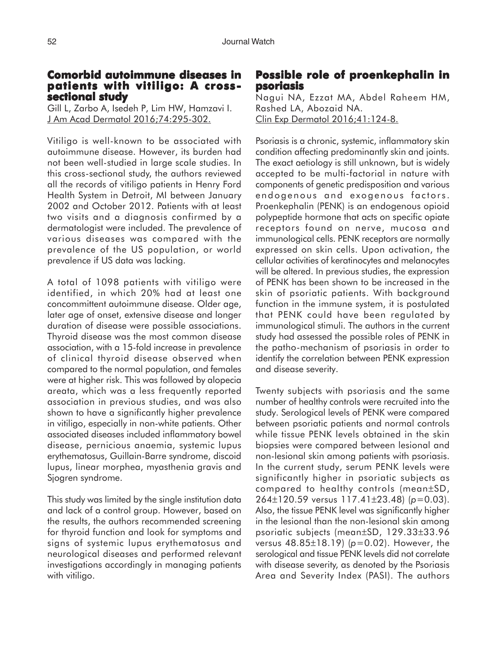## **Comorbid autoimmune diseases in patients with vitiligo: A crosssectional study**

Gill L, Zarbo A, Isedeh P, Lim HW, Hamzavi I. J Am Acad Dermatol 2016;74:295-302.

Vitiligo is well-known to be associated with autoimmune disease. However, its burden had not been well-studied in large scale studies. In this cross-sectional study, the authors reviewed all the records of vitiligo patients in Henry Ford Health System in Detroit, MI between January 2002 and October 2012. Patients with at least two visits and a diagnosis confirmed by a dermatologist were included. The prevalence of various diseases was compared with the prevalence of the US population, or world prevalence if US data was lacking.

A total of 1098 patients with vitiligo were identified, in which 20% had at least one concommittent autoimmune disease. Older age, later age of onset, extensive disease and longer duration of disease were possible associations. Thyroid disease was the most common disease association, with a 15-fold increase in prevalence of clinical thyroid disease observed when compared to the normal population, and females were at higher risk. This was followed by alopecia areata, which was a less frequently reported association in previous studies, and was also shown to have a significantly higher prevalence in vitiligo, especially in non-white patients. Other associated diseases included inflammatory bowel disease, pernicious anaemia, systemic lupus erythematosus, Guillain-Barre syndrome, discoid lupus, linear morphea, myasthenia gravis and Sjogren syndrome.

This study was limited by the single institution data and lack of a control group. However, based on the results, the authors recommended screening for thyroid function and look for symptoms and signs of systemic lupus erythematosus and neurological diseases and performed relevant investigations accordingly in managing patients with vitiligo.

## **Possible role of proenkephalin in psoriasis**

Nagui NA, Ezzat MA, Abdel Raheem HM, Rashed LA, Abozaid NA. Clin Exp Dermatol 2016;41:124-8.

Psoriasis is a chronic, systemic, inflammatory skin condition affecting predominantly skin and joints. The exact aetiology is still unknown, but is widely accepted to be multi-factorial in nature with components of genetic predisposition and various endogenous and exogenous factors. Proenkephalin (PENK) is an endogenous opioid polypeptide hormone that acts on specific opiate receptors found on nerve, mucosa and immunological cells. PENK receptors are normally expressed on skin cells. Upon activation, the cellular activities of keratinocytes and melanocytes will be altered. In previous studies, the expression of PENK has been shown to be increased in the skin of psoriatic patients. With background function in the immune system, it is postulated that PENK could have been regulated by immunological stimuli. The authors in the current study had assessed the possible roles of PENK in the patho-mechanism of psoriasis in order to identify the correlation between PENK expression and disease severity.

Twenty subjects with psoriasis and the same number of healthy controls were recruited into the study. Serological levels of PENK were compared between psoriatic patients and normal controls while tissue PENK levels obtained in the skin biopsies were compared between lesional and non-lesional skin among patients with psoriasis. In the current study, serum PENK levels were significantly higher in psoriatic subjects as compared to healthy controls (mean±SD, 264±120.59 versus 117.41±23.48) (*p*=0.03). Also, the tissue PENK level was significantly higher in the lesional than the non-lesional skin among psoriatic subjects (mean±SD, 129.33±33.96 versus 48.85±18.19) (*p*=0.02). However, the serological and tissue PENK levels did not correlate with disease severity, as denoted by the Psoriasis Area and Severity Index (PASI). The authors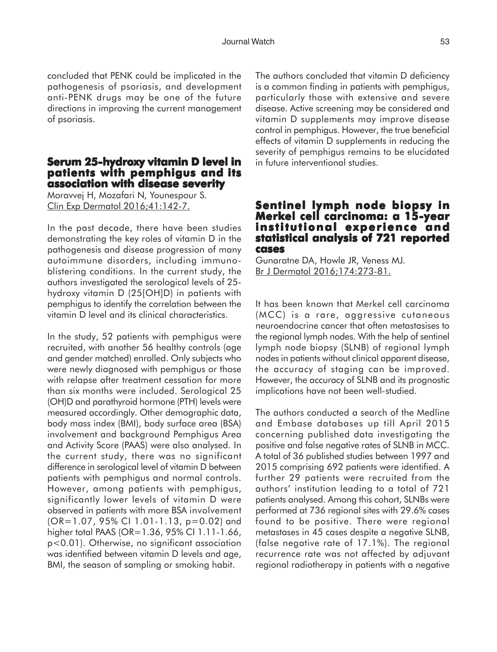concluded that PENK could be implicated in the pathogenesis of psoriasis, and development anti-PENK drugs may be one of the future directions in improving the current management of psoriasis.

## **Serum 25-hydroxy vitamin D level in patients with pemphigus and its association with disease severity**

Moravvej H, Mozafari N, Younespour S. Clin Exp Dermatol 2016;41:142-7.

In the past decade, there have been studies demonstrating the key roles of vitamin D in the pathogenesis and disease progression of many autoimmune disorders, including immunoblistering conditions. In the current study, the authors investigated the serological levels of 25 hydroxy vitamin D (25[OH]D) in patients with pemphigus to identify the correlation between the vitamin D level and its clinical characteristics.

In the study, 52 patients with pemphigus were recruited, with another 56 healthy controls (age and gender matched) enrolled. Only subjects who were newly diagnosed with pemphigus or those with relapse after treatment cessation for more than six months were included. Serological 25 (OH)D and parathyroid hormone (PTH) levels were measured accordingly. Other demographic data, body mass index (BMI), body surface area (BSA) involvement and background Pemphigus Area and Activity Score (PAAS) were also analysed. In the current study, there was no significant difference in serological level of vitamin D between patients with pemphigus and normal controls. However, among patients with pemphigus, significantly lower levels of vitamin D were observed in patients with more BSA involvement (OR=1.07, 95% CI 1.01-1.13, p=0.02) and higher total PAAS (OR=1.36, 95% CI 1.11-1.66, p<0.01). Otherwise, no significant association was identified between vitamin D levels and age, BMI, the season of sampling or smoking habit.

The authors concluded that vitamin D deficiency is a common finding in patients with pemphigus, particularly those with extensive and severe disease. Active screening may be considered and vitamin D supplements may improve disease control in pemphigus. However, the true beneficial effects of vitamin D supplements in reducing the severity of pemphigus remains to be elucidated in future interventional studies.

## **Sentinel lymph node biopsy in Merkel cell carcinoma: a 15-year institutional experience and statistical analysis of 721 reported cases**

Gunaratne DA, Howle JR, Veness MJ. Br J Dermatol 2016;174:273-81.

It has been known that Merkel cell carcinoma (MCC) is a rare, aggressive cutaneous neuroendocrine cancer that often metastasises to the regional lymph nodes. With the help of sentinel lymph node biopsy (SLNB) of regional lymph nodes in patients without clinical apparent disease, the accuracy of staging can be improved. However, the accuracy of SLNB and its prognostic implications have not been well-studied.

The authors conducted a search of the Medline and Embase databases up till April 2015 concerning published data investigating the positive and false negative rates of SLNB in MCC. A total of 36 published studies between 1997 and 2015 comprising 692 patients were identified. A further 29 patients were recruited from the authors' institution leading to a total of 721 patients analysed. Among this cohort, SLNBs were performed at 736 regional sites with 29.6% cases found to be positive. There were regional metastases in 45 cases despite a negative SLNB, (false negative rate of 17.1%). The regional recurrence rate was not affected by adjuvant regional radiotherapy in patients with a negative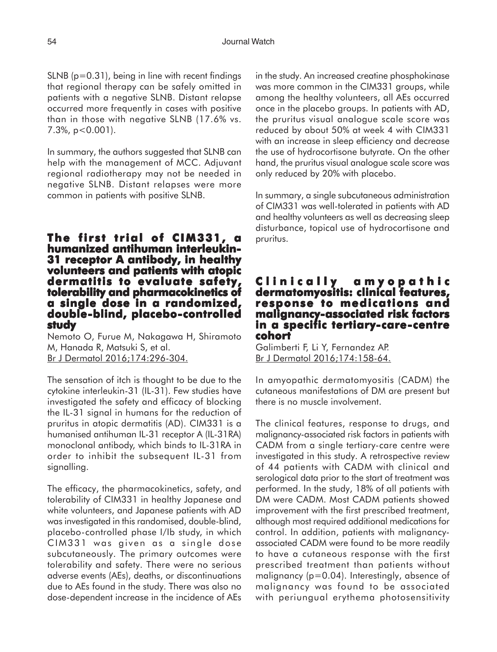$SLNB$  ( $p=0.31$ ), being in line with recent findings that regional therapy can be safely omitted in patients with a negative SLNB. Distant relapse occurred more frequently in cases with positive than in those with negative SLNB (17.6% vs. 7.3%, p<0.001).

In summary, the authors suggested that SLNB can help with the management of MCC. Adjuvant regional radiotherapy may not be needed in negative SLNB. Distant relapses were more common in patients with positive SLNB.

### **The first trial of CIM331, a humanized antihuman interleukin-31 receptor A antibody, in healthy volunteers and patients with atopic dermatitis to evaluate safety, to tolerability and pharmacokinetics of tolerability and of a single dose in a randomized, dose in a double-blind, placebo-controlled study**

Nemoto O, Furue M, Nakagawa H, Shiramoto M, Hanada R, Matsuki S, et al. Br J Dermatol 2016;174:296-304.

The sensation of itch is thought to be due to the cytokine interleukin-31 (IL-31). Few studies have investigated the safety and efficacy of blocking the IL-31 signal in humans for the reduction of pruritus in atopic dermatitis (AD). CIM331 is a humanised antihuman IL-31 receptor A (IL-31RA) monoclonal antibody, which binds to IL-31RA in order to inhibit the subsequent IL-31 from signalling.

The efficacy, the pharmacokinetics, safety, and tolerability of CIM331 in healthy Japanese and white volunteers, and Japanese patients with AD was investigated in this randomised, double-blind, placebo-controlled phase I/Ib study, in which CIM331 was given as a single dose subcutaneously. The primary outcomes were tolerability and safety. There were no serious adverse events (AEs), deaths, or discontinuations due to AEs found in the study. There was also no dose-dependent increase in the incidence of AEs in the study. An increased creatine phosphokinase was more common in the CIM331 groups, while among the healthy volunteers, all AEs occurred once in the placebo groups. In patients with AD, the pruritus visual analogue scale score was reduced by about 50% at week 4 with CIM331 with an increase in sleep efficiency and decrease the use of hydrocortisone butyrate. On the other hand, the pruritus visual analogue scale score was only reduced by 20% with placebo.

In summary, a single subcutaneous administration of CIM331 was well-tolerated in patients with AD and healthy volunteers as well as decreasing sleep disturbance, topical use of hydrocortisone and pruritus.

## **Clinically amyopathic dermatomyositis: clinical features, clinical features, response to medications and malignancy-associated risk factors in a specific tertiary-care-centre cohort**

Galimberti F, Li Y, Fernandez AP. Br J Dermatol 2016;174:158-64.

In amyopathic dermatomyositis (CADM) the cutaneous manifestations of DM are present but there is no muscle involvement.

The clinical features, response to drugs, and malignancy-associated risk factors in patients with CADM from a single tertiary-care centre were investigated in this study. A retrospective review of 44 patients with CADM with clinical and serological data prior to the start of treatment was performed. In the study, 18% of all patients with DM were CADM. Most CADM patients showed improvement with the first prescribed treatment, although most required additional medications for control. In addition, patients with malignancyassociated CADM were found to be more readily to have a cutaneous response with the first prescribed treatment than patients without malignancy (p=0.04). Interestingly, absence of malignancy was found to be associated with periungual erythema photosensitivity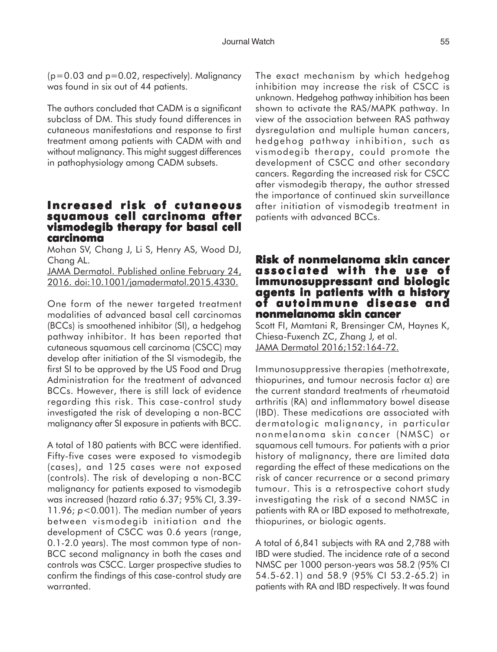$(p=0.03$  and  $p=0.02$ , respectively). Malignancy was found in six out of 44 patients.

The authors concluded that CADM is a significant subclass of DM. This study found differences in cutaneous manifestations and response to first treatment among patients with CADM with and without malignancy. This might suggest differences in pathophysiology among CADM subsets.

#### **Increased risk of cutaneous squamous cell carcinoma after vismodegib therapy for basal cell vismodegib for basal carcinoma**

Mohan SV, Chang J, Li S, Henry AS, Wood DJ, Chang AL.

JAMA Dermatol. Published online February 24, 2016. doi:10.1001/jamadermatol.2015.4330.

One form of the newer targeted treatment modalities of advanced basal cell carcinomas (BCCs) is smoothened inhibitor (SI), a hedgehog pathway inhibitor. It has been reported that cutaneous squamous cell carcinoma (CSCC) may develop after initiation of the SI vismodegib, the first SI to be approved by the US Food and Drug Administration for the treatment of advanced BCCs. However, there is still lack of evidence regarding this risk. This case-control study investigated the risk of developing a non-BCC malignancy after SI exposure in patients with BCC.

A total of 180 patients with BCC were identified. Fifty-five cases were exposed to vismodegib (cases), and 125 cases were not exposed (controls). The risk of developing a non-BCC malignancy for patients exposed to vismodegib was increased (hazard ratio 6.37; 95% CI, 3.39- 11.96; *p*<0.001). The median number of years between vismodegib initiation and the development of CSCC was 0.6 years (range, 0.1-2.0 years). The most common type of non-BCC second malignancy in both the cases and controls was CSCC. Larger prospective studies to confirm the findings of this case-control study are warranted.

The exact mechanism by which hedgehog inhibition may increase the risk of CSCC is unknown. Hedgehog pathway inhibition has been shown to activate the RAS/MAPK pathway. In view of the association between RAS pathway dysregulation and multiple human cancers, hedgehog pathway inhibition, such as vismodegib therapy, could promote the development of CSCC and other secondary cancers. Regarding the increased risk for CSCC after vismodegib therapy, the author stressed the importance of continued skin surveillance after initiation of vismodegib treatment in patients with advanced BCCs.

## **Risk of nonmelanoma skin cancer associated with the use of with the use of immunosuppressant and biologic agents in patients with a history of autoimmune disease and nonmelanoma skin cancer**

Scott FI, Mamtani R, Brensinger CM, Haynes K, Chiesa-Fuxench ZC, Zhang J, et al. JAMA Dermatol 2016;152:164-72.

Immunosuppressive therapies (methotrexate, thiopurines, and tumour necrosis factor α) are the current standard treatments of rheumatoid arthritis (RA) and inflammatory bowel disease (IBD). These medications are associated with dermatologic malignancy, in particular nonmelanoma skin cancer (NMSC) or squamous cell tumours. For patients with a prior history of malignancy, there are limited data regarding the effect of these medications on the risk of cancer recurrence or a second primary tumour. This is a retrospective cohort study investigating the risk of a second NMSC in patients with RA or IBD exposed to methotrexate, thiopurines, or biologic agents.

A total of 6,841 subjects with RA and 2,788 with IBD were studied. The incidence rate of a second NMSC per 1000 person-years was 58.2 (95% CI 54.5-62.1) and 58.9 (95% CI 53.2-65.2) in patients with RA and IBD respectively. It was found